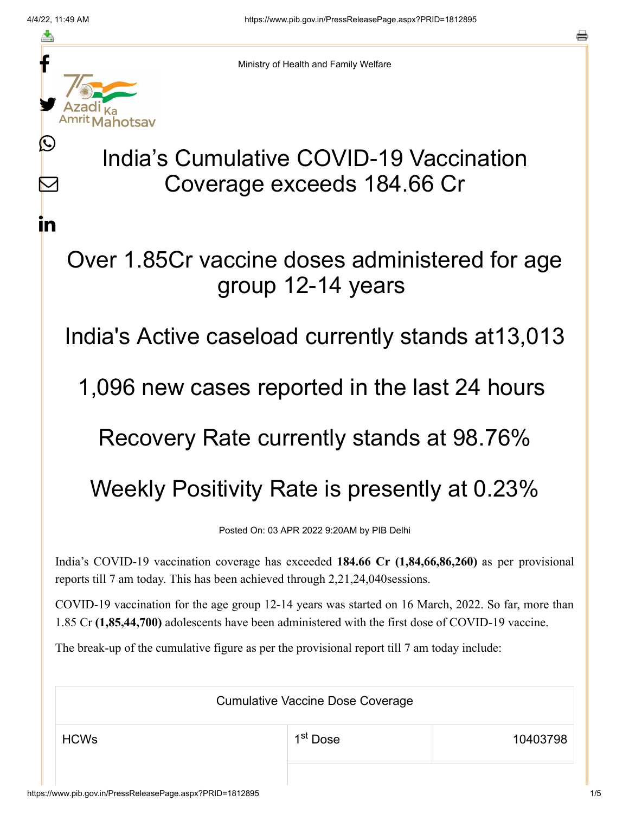≛

 $\mathbf{\Omega}$ 

 $\mathbb{\mathsf{M}}$ 

<u>in</u>



Ministry of Health and Family Welfare

# India's Cumulative COVID-19 Vaccination Coverage exceeds 184.66 Cr

## Over 1.85Cr vaccine doses administered for age group 12-14 years

### India's Active caseload currently stands at13,013

#### 1,096 new cases reported in the last 24 hours

## Recovery Rate currently stands at 98.76%

# Weekly Positivity Rate is presently at 0.23%

Posted On: 03 APR 2022 9:20AM by PIB Delhi

India's COVID-19 vaccination coverage has exceeded **184.66 Cr (1,84,66,86,260)** as per provisional reports till 7 am today. This has been achieved through 2,21,24,040sessions.

COVID-19 vaccination for the age group 12-14 years was started on 16 March, 2022. So far, more than 1.85 Cr **(1,85,44,700)** adolescents have been administered with the first dose of COVID-19 vaccine.

The break-up of the cumulative figure as per the provisional report till 7 am today include:

Cumulative Vaccine Dose Coverage  $\begin{array}{ccc} \text{HCWs} & \text{1.1} & \text{1.1} & \text{1.1} & \text{1.1} & \text{1.1} & \text{1.1} & \text{1.1} & \text{1.1} & \text{1.1} & \text{1.1} & \text{1.1} & \text{1.1} & \text{1.1} & \text{1.1} & \text{1.1} & \text{1.1} & \text{1.1} & \text{1.1} & \text{1.1} & \text{1.1} & \text{1.1} & \text{1.1} & \text{1.1} & \text{1.1} & \text{1.1} & \text{1.1$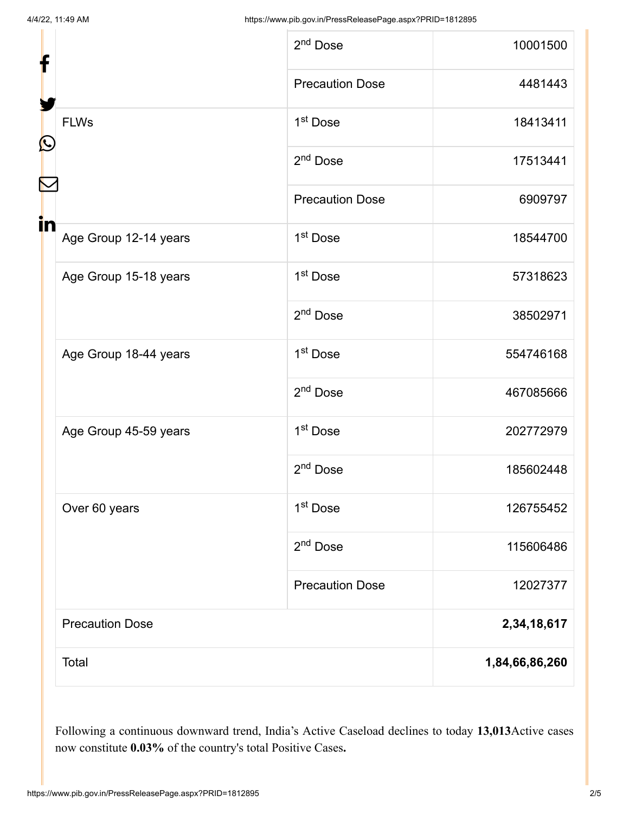| f                           | 2 <sup>nd</sup> Dose   | 10001500       |
|-----------------------------|------------------------|----------------|
|                             | <b>Precaution Dose</b> | 4481443        |
| <b>FLWs</b><br>Ŀ            | 1 <sup>st</sup> Dose   | 18413411       |
|                             | 2 <sup>nd</sup> Dose   | 17513441       |
|                             | <b>Precaution Dose</b> | 6909797        |
| in<br>Age Group 12-14 years | 1 <sup>st</sup> Dose   | 18544700       |
| Age Group 15-18 years       | 1 <sup>st</sup> Dose   | 57318623       |
|                             | $2nd$ Dose             | 38502971       |
| Age Group 18-44 years       | 1 <sup>st</sup> Dose   | 554746168      |
|                             | 2 <sup>nd</sup> Dose   | 467085666      |
| Age Group 45-59 years       | 1 <sup>st</sup> Dose   | 202772979      |
|                             | 2 <sup>nd</sup> Dose   | 185602448      |
| Over 60 years               | 1 <sup>st</sup> Dose   | 126755452      |
|                             | $2nd$ Dose             | 115606486      |
|                             | <b>Precaution Dose</b> | 12027377       |
| <b>Precaution Dose</b>      |                        | 2,34,18,617    |
| Total                       |                        | 1,84,66,86,260 |

Following a continuous downward trend, India's Active Caseload declines to today **13,013**Active cases now constitute **0.03%** of the country's total Positive Cases**.**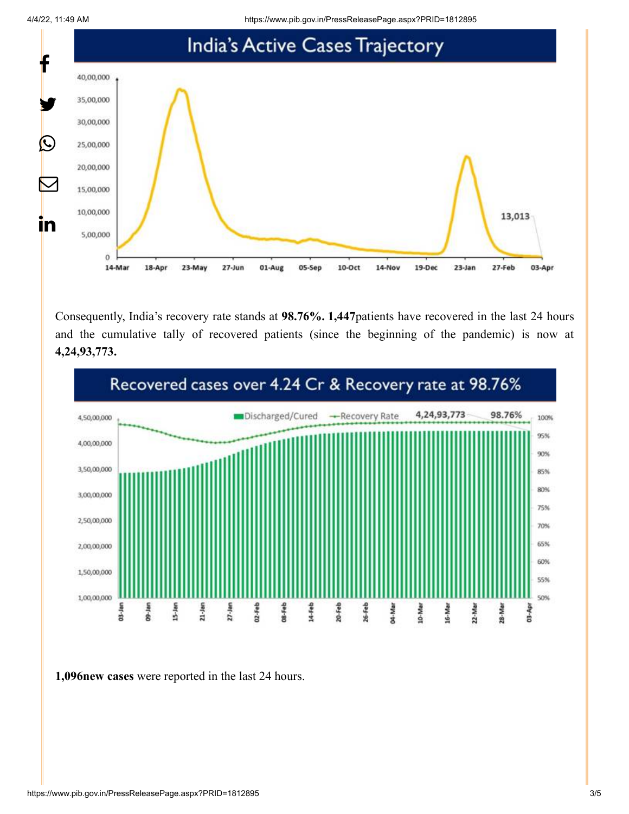4/4/22, 11:49 AM https://www.pib.gov.in/PressReleasePage.aspx?PRID=1812895



Consequently, India's recovery rate stands at **98.76%. 1,447**patients have recovered in the last 24 hours and the cumulative tally of recovered patients (since the beginning of the pandemic) is now at **4,24,93,773.**



**1,096new cases** were reported in the last 24 hours.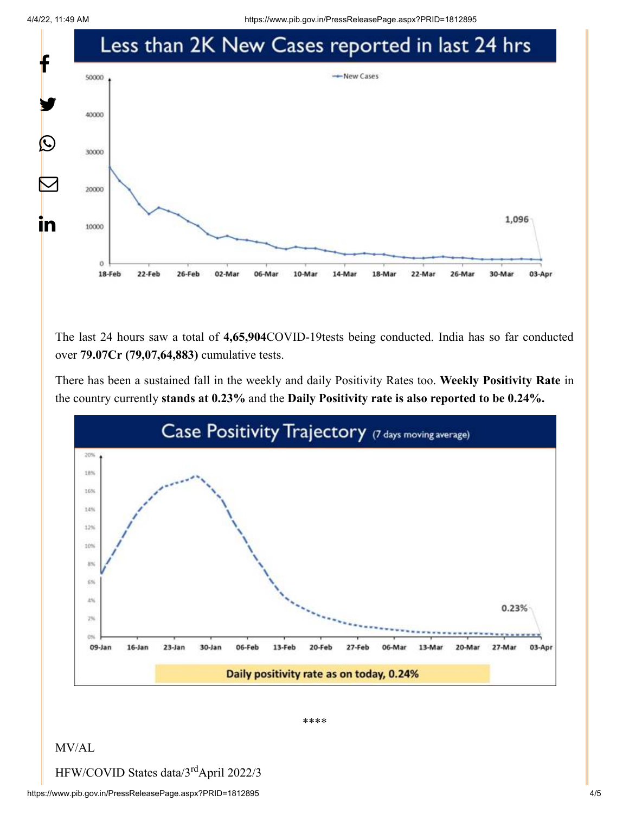4/4/22, 11:49 AM https://www.pib.gov.in/PressReleasePage.aspx?PRID=1812895



The last 24 hours saw a total of **4,65,904**COVID-19tests being conducted. India has so far conducted over **79.07Cr (79,07,64,883)** cumulative tests.

There has been a sustained fall in the weekly and daily Positivity Rates too. **Weekly Positivity Rate** in the country currently **stands at 0.23%** and the **Daily Positivity rate is also reported to be 0.24%.**



\*\*\*\*

#### MV/AL

HFW/COVID States data/3rdApril 2022/3